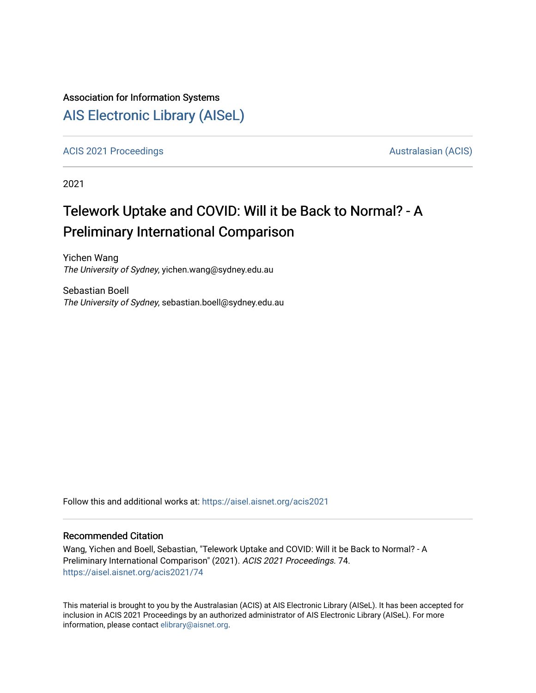#### Association for Information Systems

## [AIS Electronic Library \(AISeL\)](https://aisel.aisnet.org/)

[ACIS 2021 Proceedings](https://aisel.aisnet.org/acis2021) **AUSTRALIA CIS** Australasian (ACIS)

2021

# Telework Uptake and COVID: Will it be Back to Normal? - A Preliminary International Comparison

Yichen Wang The University of Sydney, yichen.wang@sydney.edu.au

Sebastian Boell The University of Sydney, sebastian.boell@sydney.edu.au

Follow this and additional works at: [https://aisel.aisnet.org/acis2021](https://aisel.aisnet.org/acis2021?utm_source=aisel.aisnet.org%2Facis2021%2F74&utm_medium=PDF&utm_campaign=PDFCoverPages) 

#### Recommended Citation

Wang, Yichen and Boell, Sebastian, "Telework Uptake and COVID: Will it be Back to Normal? - A Preliminary International Comparison" (2021). ACIS 2021 Proceedings. 74. [https://aisel.aisnet.org/acis2021/74](https://aisel.aisnet.org/acis2021/74?utm_source=aisel.aisnet.org%2Facis2021%2F74&utm_medium=PDF&utm_campaign=PDFCoverPages)

This material is brought to you by the Australasian (ACIS) at AIS Electronic Library (AISeL). It has been accepted for inclusion in ACIS 2021 Proceedings by an authorized administrator of AIS Electronic Library (AISeL). For more information, please contact [elibrary@aisnet.org.](mailto:elibrary@aisnet.org%3E)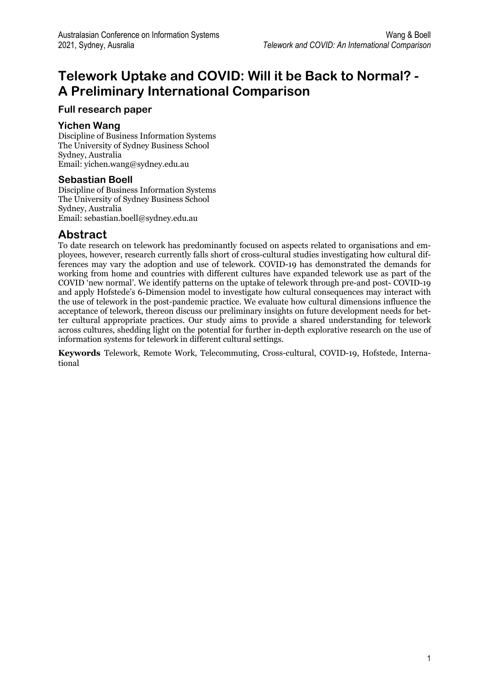## **Telework Uptake and COVID: Will it be Back to Normal? - A Preliminary International Comparison**

#### **Full research paper**

#### **Yichen Wang**

Discipline of Business Information Systems The University of Sydney Business School Sydney, Australia Email: yichen.wang@sydney.edu.au

#### **Sebastian Boell**

Discipline of Business Information Systems The University of Sydney Business School Sydney, Australia Email: sebastian.boell@sydney.edu.au

#### **Abstract**

To date research on telework has predominantly focused on aspects related to organisations and employees, however, research currently falls short of cross-cultural studies investigating how cultural differences may vary the adoption and use of telework. COVID-19 has demonstrated the demands for working from home and countries with different cultures have expanded telework use as part of the COVID 'new normal'. We identify patterns on the uptake of telework through pre-and post- COVID-19 and apply Hofstede's 6-Dimension model to investigate how cultural consequences may interact with the use of telework in the post-pandemic practice. We evaluate how cultural dimensions influence the acceptance of telework, thereon discuss our preliminary insights on future development needs for better cultural appropriate practices. Our study aims to provide a shared understanding for telework across cultures, shedding light on the potential for further in-depth explorative research on the use of information systems for telework in different cultural settings.

**Keywords** Telework, Remote Work, Telecommuting, Cross-cultural, COVID-19, Hofstede, International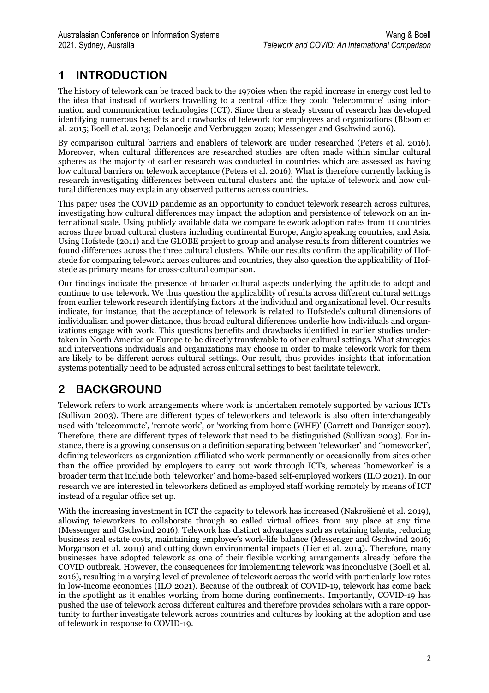## **1 INTRODUCTION**

The history of telework can be traced back to the 1970ies when the rapid increase in energy cost led to the idea that instead of workers travelling to a central office they could 'telecommute' using information and communication technologies (ICT). Since then a steady stream of research has developed identifying numerous benefits and drawbacks of telework for employees and organizations (Bloom et al. 2015; Boell et al. 2013; Delanoeije and Verbruggen 2020; Messenger and Gschwind 2016).

By comparison cultural barriers and enablers of telework are under researched (Peters et al. 2016). Moreover, when cultural differences are researched studies are often made within similar cultural spheres as the majority of earlier research was conducted in countries which are assessed as having low cultural barriers on telework acceptance (Peters et al. 2016). What is therefore currently lacking is research investigating differences between cultural clusters and the uptake of telework and how cultural differences may explain any observed patterns across countries.

This paper uses the COVID pandemic as an opportunity to conduct telework research across cultures, investigating how cultural differences may impact the adoption and persistence of telework on an international scale. Using publicly available data we compare telework adoption rates from 11 countries across three broad cultural clusters including continental Europe, Anglo speaking countries, and Asia. Using Hofstede (2011) and the GLOBE project to group and analyse results from different countries we found differences across the three cultural clusters. While our results confirm the applicability of Hofstede for comparing telework across cultures and countries, they also question the applicability of Hofstede as primary means for cross-cultural comparison.

Our findings indicate the presence of broader cultural aspects underlying the aptitude to adopt and continue to use telework. We thus question the applicability of results across different cultural settings from earlier telework research identifying factors at the individual and organizational level. Our results indicate, for instance, that the acceptance of telework is related to Hofstede's cultural dimensions of individualism and power distance, thus broad cultural differences underlie how individuals and organizations engage with work. This questions benefits and drawbacks identified in earlier studies undertaken in North America or Europe to be directly transferable to other cultural settings. What strategies and interventions individuals and organizations may choose in order to make telework work for them are likely to be different across cultural settings. Our result, thus provides insights that information systems potentially need to be adjusted across cultural settings to best facilitate telework.

## **2 BACKGROUND**

Telework refers to work arrangements where work is undertaken remotely supported by various ICTs (Sullivan 2003). There are different types of teleworkers and telework is also often interchangeably used with 'telecommute', 'remote work', or 'working from home (WHF)' (Garrett and Danziger 2007). Therefore, there are different types of telework that need to be distinguished (Sullivan 2003). For instance, there is a growing consensus on a definition separating between 'teleworker' and 'homeworker', defining teleworkers as organization-affiliated who work permanently or occasionally from sites other than the office provided by employers to carry out work through ICTs, whereas 'homeworker' is a broader term that include both 'teleworker' and home-based self-employed workers (ILO 2021). In our research we are interested in teleworkers defined as employed staff working remotely by means of ICT instead of a regular office set up.

With the increasing investment in ICT the capacity to telework has increased (Nakrošienė et al. 2019), allowing teleworkers to collaborate through so called virtual offices from any place at any time (Messenger and Gschwind 2016). Telework has distinct advantages such as retaining talents, reducing business real estate costs, maintaining employee's work-life balance (Messenger and Gschwind 2016; Morganson et al. 2010) and cutting down environmental impacts (Lier et al. 2014). Therefore, many businesses have adopted telework as one of their flexible working arrangements already before the COVID outbreak. However, the consequences for implementing telework was inconclusive (Boell et al. 2016), resulting in a varying level of prevalence of telework across the world with particularly low rates in low-income economies (ILO 2021). Because of the outbreak of COVID-19, telework has come back in the spotlight as it enables working from home during confinements. Importantly, COVID-19 has pushed the use of telework across different cultures and therefore provides scholars with a rare opportunity to further investigate telework across countries and cultures by looking at the adoption and use of telework in response to COVID-19.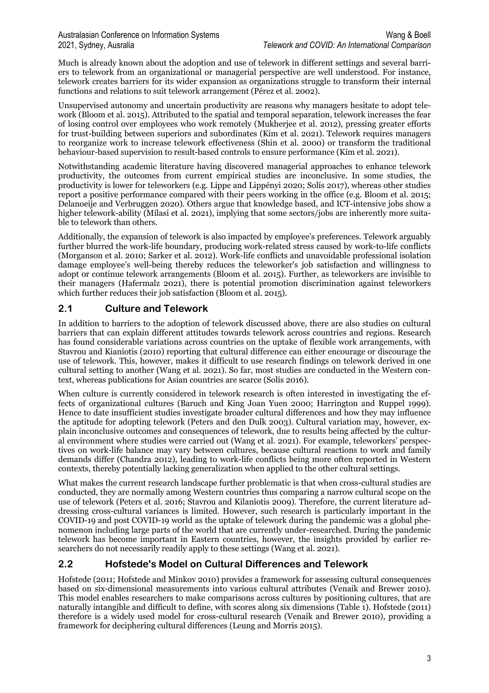Much is already known about the adoption and use of telework in different settings and several barriers to telework from an organizational or managerial perspective are well understood. For instance, telework creates barriers for its wider expansion as organizations struggle to transform their internal functions and relations to suit telework arrangement (Pérez et al. 2002).

Unsupervised autonomy and uncertain productivity are reasons why managers hesitate to adopt telework (Bloom et al. 2015). Attributed to the spatial and temporal separation, telework increases the fear of losing control over employees who work remotely (Mukherjee et al. 2012), pressing greater efforts for trust-building between superiors and subordinates (Kim et al. 2021). Telework requires managers to reorganize work to increase telework effectiveness (Shin et al. 2000) or transform the traditional behaviour-based supervision to result-based controls to ensure performance (Kim et al. 2021).

Notwithstanding academic literature having discovered managerial approaches to enhance telework productivity, the outcomes from current empirical studies are inconclusive. In some studies, the productivity is lower for teleworkers (e.g. Lippe and Lippényi 2020; Solís 2017), whereas other studies report a positive performance compared with their peers working in the office (e.g. Bloom et al. 2015; Delanoeije and Verbruggen 2020). Others argue that knowledge based, and ICT-intensive jobs show a higher telework-ability (Milasi et al. 2021), implying that some sectors/jobs are inherently more suitable to telework than others.

Additionally, the expansion of telework is also impacted by employee's preferences. Telework arguably further blurred the work-life boundary, producing work-related stress caused by work-to-life conflicts (Morganson et al. 2010; Sarker et al. 2012). Work-life conflicts and unavoidable professional isolation damage employee's well-being thereby reduces the teleworker's job satisfaction and willingness to adopt or continue telework arrangements (Bloom et al. 2015). Further, as teleworkers are invisible to their managers (Hafermalz 2021), there is potential promotion discrimination against teleworkers which further reduces their job satisfaction (Bloom et al. 2015).

#### **2.1 Culture and Telework**

In addition to barriers to the adoption of telework discussed above, there are also studies on cultural barriers that can explain different attitudes towards telework across countries and regions. Research has found considerable variations across countries on the uptake of flexible work arrangements, with Stavrou and Kianiotis (2010) reporting that cultural difference can either encourage or discourage the use of telework. This, however, makes it difficult to use research findings on telework derived in one cultural setting to another (Wang et al. 2021). So far, most studies are conducted in the Western context, whereas publications for Asian countries are scarce (Solís 2016).

When culture is currently considered in telework research is often interested in investigating the effects of organizational cultures (Baruch and King Joan Yuen 2000; Harrington and Ruppel 1999). Hence to date insufficient studies investigate broader cultural differences and how they may influence the aptitude for adopting telework (Peters and den Dulk 2003). Cultural variation may, however, explain inconclusive outcomes and consequences of telework, due to results being affected by the cultural environment where studies were carried out (Wang et al. 2021). For example, teleworkers' perspectives on work-life balance may vary between cultures, because cultural reactions to work and family demands differ (Chandra 2012), leading to work-life conflicts being more often reported in Western contexts, thereby potentially lacking generalization when applied to the other cultural settings.

What makes the current research landscape further problematic is that when cross-cultural studies are conducted, they are normally among Western countries thus comparing a narrow cultural scope on the use of telework (Peters et al. 2016; Stavrou and Kilaniotis 2009). Therefore, the current literature addressing cross-cultural variances is limited. However, such research is particularly important in the COVID-19 and post COVID-19 world as the uptake of telework during the pandemic was a global phenomenon including large parts of the world that are currently under-researched. During the pandemic telework has become important in Eastern countries, however, the insights provided by earlier researchers do not necessarily readily apply to these settings (Wang et al. 2021).

#### **2.2 Hofstede's Model on Cultural Differences and Telework**

Hofstede (2011; Hofstede and Minkov 2010) provides a framework for assessing cultural consequences based on six-dimensional measurements into various cultural attributes (Venaik and Brewer 2010). This model enables researchers to make comparisons across cultures by positioning cultures, that are naturally intangible and difficult to define, with scores along six dimensions (Table 1). Hofstede (2011) therefore is a widely used model for cross-cultural research (Venaik and Brewer 2010), providing a framework for deciphering cultural differences (Leung and Morris 2015).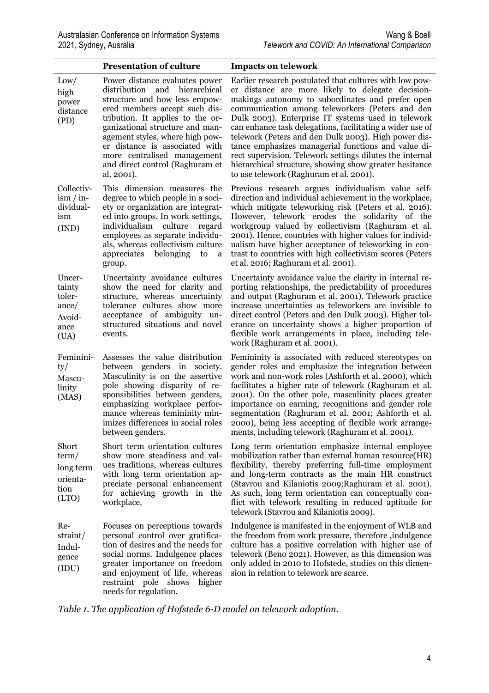|                                                               | <b>Presentation of culture</b>                                                                                                                                                                                                                                                                                                                                | <b>Impacts on telework</b>                                                                                                                                                                                                                                                                                                                                                                                                                                                                                                                                                                                             |
|---------------------------------------------------------------|---------------------------------------------------------------------------------------------------------------------------------------------------------------------------------------------------------------------------------------------------------------------------------------------------------------------------------------------------------------|------------------------------------------------------------------------------------------------------------------------------------------------------------------------------------------------------------------------------------------------------------------------------------------------------------------------------------------------------------------------------------------------------------------------------------------------------------------------------------------------------------------------------------------------------------------------------------------------------------------------|
| Low/<br>high<br>power<br>distance<br>(PD)                     | Power distance evaluates power<br>distribution and hierarchical<br>structure and how less empow-<br>ered members accept such dis-<br>tribution. It applies to the or-<br>ganizational structure and man-<br>agement styles, where high pow-<br>er distance is associated with<br>more centralised management<br>and direct control (Raghuram et<br>al. 2001). | Earlier research postulated that cultures with low pow-<br>er distance are more likely to delegate decision-<br>makings autonomy to subordinates and prefer open<br>communication among teleworkers (Peters and den<br>Dulk 2003). Enterprise IT systems used in telework<br>can enhance task delegations, facilitating a wider use of<br>telework (Peters and den Dulk 2003). High power dis-<br>tance emphasizes managerial functions and value di-<br>rect supervision. Telework settings dilutes the internal<br>hierarchical structure, showing show greater hesitance<br>to use telework (Raghuram et al. 2001). |
| Collectiv-<br>$\lim / \lim$<br>dividual-<br>ism<br>(IND)      | This dimension measures the<br>degree to which people in a soci-<br>ety or organization are integrat-<br>ed into groups. In work settings,<br>individualism culture<br>regard<br>employees as separate individu-<br>als, whereas collectivism culture<br>appreciates belonging<br>to<br><sub>a</sub><br>group.                                                | Previous research argues individualism value self-<br>direction and individual achievement in the workplace,<br>which mitigate teleworking risk (Peters et al. 2016).<br>However, telework erodes the solidarity of the<br>workgroup valued by collectivism (Raghuram et al.<br>2001). Hence, countries with higher values for individ-<br>ualism have higher acceptance of teleworking in con-<br>trast to countries with high collectivism scores (Peters<br>et al. 2016; Raghuram et al. 2001).                                                                                                                     |
| Uncer-<br>tainty<br>toler-<br>ance/<br>Avoid-<br>ance<br>(UA) | Uncertainty avoidance cultures<br>show the need for clarity and<br>structure, whereas uncertainty<br>tolerance cultures show more<br>acceptance of ambiguity un-<br>structured situations and novel<br>events.                                                                                                                                                | Uncertainty avoidance value the clarity in internal re-<br>porting relationships, the predictability of procedures<br>and output (Raghuram et al. 2001). Telework practice<br>increase uncertainties as teleworkers are invisible to<br>direct control (Peters and den Dulk 2003). Higher tol-<br>erance on uncertainty shows a higher proportion of<br>flexible work arrangements in place, including tele-<br>work (Raghuram et al. 2001).                                                                                                                                                                           |
| Feminini-<br>ty/<br>Mascu-<br>linity<br>(MAS)                 | Assesses the value distribution<br>between genders in society.<br>Masculinity is on the assertive<br>pole showing disparity of re-<br>sponsibilities between genders,<br>emphasizing workplace perfor-<br>mance whereas femininity min-<br>imizes differences in social roles<br>between genders.                                                             | Femininity is associated with reduced stereotypes on<br>gender roles and emphasize the integration between<br>work and non-work roles (Ashforth et al. 2000), which<br>facilitates a higher rate of telework (Raghuram et al.<br>2001). On the other pole, masculinity places greater<br>importance on earning, recognitions and gender role<br>segmentation (Raghuram et al. 2001; Ashforth et al.<br>2000), being less accepting of flexible work arrange-<br>ments, including telework (Raghuram et al. 2001).                                                                                                      |
| Short<br>term/<br>long term<br>orienta-<br>tion<br>(LTO)      | Short term orientation cultures<br>show more steadiness and val-<br>ues traditions, whereas cultures<br>with long term orientation ap-<br>preciate personal enhancement<br>for achieving growth in the<br>workplace.                                                                                                                                          | Long term orientation emphasize internal employee<br>mobilization rather than external human resource (HR)<br>flexibility, thereby preferring full-time employment<br>and long-term contracts as the main HR construct<br>(Stavrou and Kilaniotis 2009; Raghuram et al. 2001).<br>As such, long term orientation can conceptually con-<br>flict with telework resulting in reduced aptitude for<br>telework (Stavrou and Kilaniotis 2009).                                                                                                                                                                             |
| Re-<br>straint/<br>Indul-<br>gence<br>(IDU)                   | Focuses on perceptions towards<br>personal control over gratifica-<br>tion of desires and the needs for<br>social norms. Indulgence places<br>greater importance on freedom<br>and enjoyment of life, whereas<br>restraint pole shows<br>higher<br>needs for regulation.                                                                                      | Indulgence is manifested in the enjoyment of WLB and<br>the freedom from work pressure, therefore , indulgence<br>culture has a positive correlation with higher use of<br>telework (Beno 2021). However, as this dimension was<br>only added in 2010 to Hofstede, studies on this dimen-<br>sion in relation to telework are scarce.                                                                                                                                                                                                                                                                                  |

*Table 1. The application of Hofstede 6-D model on telework adoption.*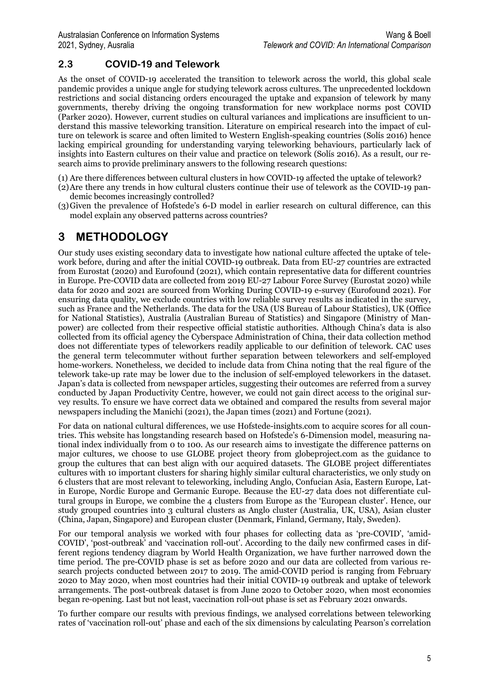#### **2.3 COVID-19 and Telework**

As the onset of COVID-19 accelerated the transition to telework across the world, this global scale pandemic provides a unique angle for studying telework across cultures. The unprecedented lockdown restrictions and social distancing orders encouraged the uptake and expansion of telework by many governments, thereby driving the ongoing transformation for new workplace norms post COVID (Parker 2020). However, current studies on cultural variances and implications are insufficient to understand this massive teleworking transition. Literature on empirical research into the impact of culture on telework is scarce and often limited to Western English-speaking countries (Solís 2016) hence lacking empirical grounding for understanding varying teleworking behaviours, particularly lack of insights into Eastern cultures on their value and practice on telework (Solís 2016). As a result, our research aims to provide preliminary answers to the following research questions:

(1) Are there differences between cultural clusters in how COVID-19 affected the uptake of telework?

- (2)Are there any trends in how cultural clusters continue their use of telework as the COVID-19 pandemic becomes increasingly controlled?
- (3)Given the prevalence of Hofstede's 6-D model in earlier research on cultural difference, can this model explain any observed patterns across countries?

### **3 METHODOLOGY**

Our study uses existing secondary data to investigate how national culture affected the uptake of telework before, during and after the initial COVID-19 outbreak. Data from EU-27 countries are extracted from Eurostat (2020) and Eurofound (2021), which contain representative data for different countries in Europe. Pre-COVID data are collected from 2019 EU-27 Labour Force Survey (Eurostat 2020) while data for 2020 and 2021 are sourced from Working During COVID-19 e-survey (Eurofound 2021). For ensuring data quality, we exclude countries with low reliable survey results as indicated in the survey, such as France and the Netherlands. The data for the USA (US Bureau of Labour Statistics), UK (Office for National Statistics), Australia (Australian Bureau of Statistics) and Singapore (Ministry of Manpower) are collected from their respective official statistic authorities. Although China's data is also collected from its official agency the Cyberspace Administration of China, their data collection method does not differentiate types of teleworkers readily applicable to our definition of telework. CAC uses the general term telecommuter without further separation between teleworkers and self-employed home-workers. Nonetheless, we decided to include data from China noting that the real figure of the telework take-up rate may be lower due to the inclusion of self-employed teleworkers in the dataset. Japan's data is collected from newspaper articles, suggesting their outcomes are referred from a survey conducted by Japan Productivity Centre, however, we could not gain direct access to the original survey results. To ensure we have correct data we obtained and compared the results from several major newspapers including the Manichi (2021), the Japan times (2021) and Fortune (2021).

For data on national cultural differences, we use Hofstede-insights.com to acquire scores for all countries. This website has longstanding research based on Hofstede's 6-Dimension model, measuring national index individually from 0 to 100. As our research aims to investigate the difference patterns on major cultures, we choose to use GLOBE project theory from globeproject.com as the guidance to group the cultures that can best align with our acquired datasets. The GLOBE project differentiates cultures with 10 important clusters for sharing highly similar cultural characteristics, we only study on 6 clusters that are most relevant to teleworking, including Anglo, Confucian Asia, Eastern Europe, Latin Europe, Nordic Europe and Germanic Europe. Because the EU-27 data does not differentiate cultural groups in Europe, we combine the 4 clusters from Europe as the 'European cluster'. Hence, our study grouped countries into 3 cultural clusters as Anglo cluster (Australia, UK, USA), Asian cluster (China, Japan, Singapore) and European cluster (Denmark, Finland, Germany, Italy, Sweden).

For our temporal analysis we worked with four phases for collecting data as 'pre-COVID', 'amid-COVID', 'post-outbreak' and 'vaccination roll-out'. According to the daily new confirmed cases in different regions tendency diagram by World Health Organization, we have further narrowed down the time period. The pre-COVID phase is set as before 2020 and our data are collected from various research projects conducted between 2017 to 2019. The amid-COVID period is ranging from February 2020 to May 2020, when most countries had their initial COVID-19 outbreak and uptake of telework arrangements. The post-outbreak dataset is from June 2020 to October 2020, when most economies began re-opening. Last but not least, vaccination roll-out phase is set as February 2021 onwards.

To further compare our results with previous findings, we analysed correlations between teleworking rates of 'vaccination roll-out' phase and each of the six dimensions by calculating Pearson's correlation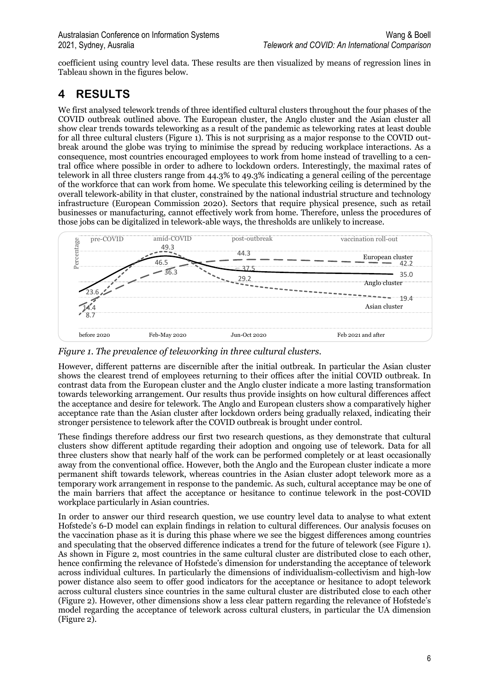coefficient using country level data. These results are then visualized by means of regression lines in Tableau shown in the figures below.

## **4 RESULTS**

We first analysed telework trends of three identified cultural clusters throughout the four phases of the COVID outbreak outlined above. The European cluster, the Anglo cluster and the Asian cluster all show clear trends towards teleworking as a result of the pandemic as teleworking rates at least double for all three cultural clusters (Figure 1). This is not surprising as a major response to the COVID outbreak around the globe was trying to minimise the spread by reducing workplace interactions. As a consequence, most countries encouraged employees to work from home instead of travelling to a central office where possible in order to adhere to lockdown orders. Interestingly, the maximal rates of telework in all three clusters range from 44.3% to 49.3% indicating a general ceiling of the percentage of the workforce that can work from home. We speculate this teleworking ceiling is determined by the overall telework-ability in that cluster, constrained by the national industrial structure and technology infrastructure (European Commission 2020). Sectors that require physical presence, such as retail businesses or manufacturing, cannot effectively work from home. Therefore, unless the procedures of those jobs can be digitalized in telework-able ways, the thresholds are unlikely to increase.



*Figure 1. The prevalence of teleworking in three cultural clusters.*

However, different patterns are discernible after the initial outbreak. In particular the Asian cluster shows the clearest trend of employees returning to their offices after the initial COVID outbreak. In contrast data from the European cluster and the Anglo cluster indicate a more lasting transformation towards teleworking arrangement. Our results thus provide insights on how cultural differences affect the acceptance and desire for telework. The Anglo and European clusters show a comparatively higher acceptance rate than the Asian cluster after lockdown orders being gradually relaxed, indicating their stronger persistence to telework after the COVID outbreak is brought under control.

These findings therefore address our first two research questions, as they demonstrate that cultural clusters show different aptitude regarding their adoption and ongoing use of telework. Data for all three clusters show that nearly half of the work can be performed completely or at least occasionally away from the conventional office. However, both the Anglo and the European cluster indicate a more permanent shift towards telework, whereas countries in the Asian cluster adopt telework more as a temporary work arrangement in response to the pandemic. As such, cultural acceptance may be one of the main barriers that affect the acceptance or hesitance to continue telework in the post-COVID workplace particularly in Asian countries.

In order to answer our third research question, we use country level data to analyse to what extent Hofstede's 6-D model can explain findings in relation to cultural differences. Our analysis focuses on the vaccination phase as it is during this phase where we see the biggest differences among countries and speculating that the observed difference indicates a trend for the future of telework (see Figure 1). As shown in Figure 2, most countries in the same cultural cluster are distributed close to each other, hence confirming the relevance of Hofstede's dimension for understanding the acceptance of telework across individual cultures. In particularly the dimensions of individualism-collectivism and high-low power distance also seem to offer good indicators for the acceptance or hesitance to adopt telework across cultural clusters since countries in the same cultural cluster are distributed close to each other (Figure 2). However, other dimensions show a less clear pattern regarding the relevance of Hofstede's model regarding the acceptance of telework across cultural clusters, in particular the UA dimension (Figure 2).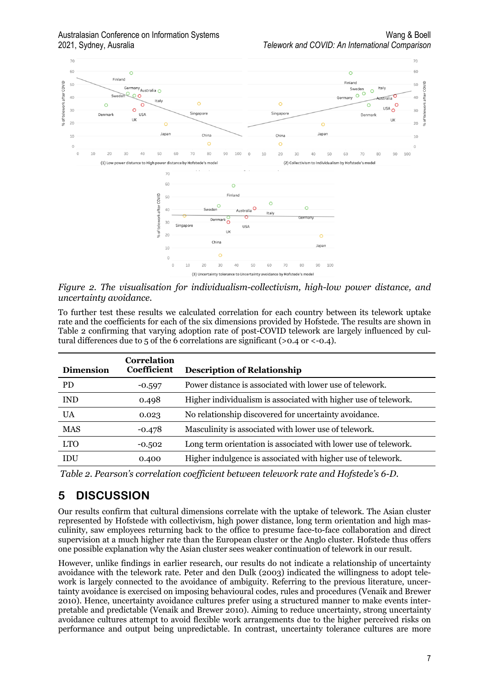

*Figure 2. The visualisation for individualism-collectivism, high-low power distance, and uncertainty avoidance.*

To further test these results we calculated correlation for each country between its telework uptake rate and the coefficients for each of the six dimensions provided by Hofstede. The results are shown in Table 2 confirming that varying adoption rate of post-COVID telework are largely influenced by cultural differences due to 5 of the 6 correlations are significant ( $> 0.4$  or  $< -0.4$ ).

| <b>Correlation</b><br><b>Coefficient</b> | <b>Description of Relationship</b>                              |
|------------------------------------------|-----------------------------------------------------------------|
| $-0.597$                                 | Power distance is associated with lower use of telework.        |
| 0.498                                    | Higher individualism is associated with higher use of telework. |
| 0.023                                    | No relationship discovered for uncertainty avoidance.           |
| $-0.478$                                 | Masculinity is associated with lower use of telework.           |
| $-0.502$                                 | Long term orientation is associated with lower use of telework. |
| 0.400                                    | Higher indulgence is associated with higher use of telework.    |
|                                          |                                                                 |

*Table 2. Pearson's correlation coefficient between telework rate and Hofstede's 6-D.*

## **5 DISCUSSION**

Our results confirm that cultural dimensions correlate with the uptake of telework. The Asian cluster represented by Hofstede with collectivism, high power distance, long term orientation and high masculinity, saw employees returning back to the office to presume face-to-face collaboration and direct supervision at a much higher rate than the European cluster or the Anglo cluster. Hofstede thus offers one possible explanation why the Asian cluster sees weaker continuation of telework in our result.

However, unlike findings in earlier research, our results do not indicate a relationship of uncertainty avoidance with the telework rate. Peter and den Dulk (2003) indicated the willingness to adopt telework is largely connected to the avoidance of ambiguity. Referring to the previous literature, uncertainty avoidance is exercised on imposing behavioural codes, rules and procedures (Venaik and Brewer 2010). Hence, uncertainty avoidance cultures prefer using a structured manner to make events interpretable and predictable (Venaik and Brewer 2010). Aiming to reduce uncertainty, strong uncertainty avoidance cultures attempt to avoid flexible work arrangements due to the higher perceived risks on performance and output being unpredictable. In contrast, uncertainty tolerance cultures are more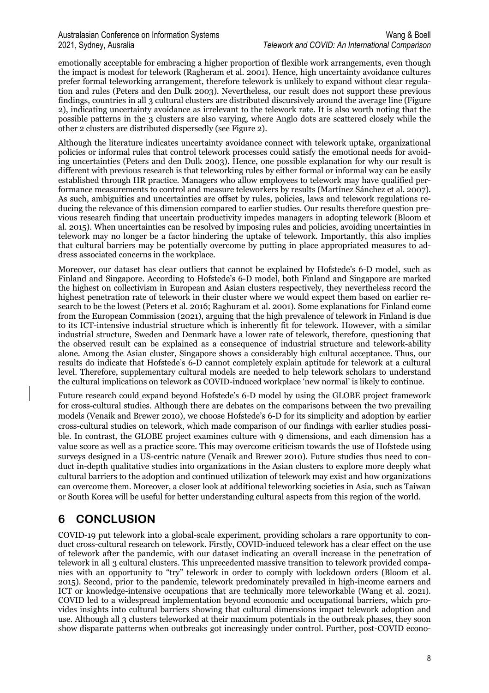emotionally acceptable for embracing a higher proportion of flexible work arrangements, even though the impact is modest for telework (Ragheram et al. 2001). Hence, high uncertainty avoidance cultures prefer formal teleworking arrangement, therefore telework is unlikely to expand without clear regulation and rules (Peters and den Dulk 2003). Nevertheless, our result does not support these previous findings, countries in all 3 cultural clusters are distributed discursively around the average line (Figure 2), indicating uncertainty avoidance as irrelevant to the telework rate. It is also worth noting that the possible patterns in the 3 clusters are also varying, where Anglo dots are scattered closely while the other 2 clusters are distributed dispersedly (see Figure 2).

Although the literature indicates uncertainty avoidance connect with telework uptake, organizational policies or informal rules that control telework processes could satisfy the emotional needs for avoiding uncertainties (Peters and den Dulk 2003). Hence, one possible explanation for why our result is different with previous research is that teleworking rules by either formal or informal way can be easily established through HR practice. Managers who allow employees to telework may have qualified performance measurements to control and measure teleworkers by results (Martínez Sánchez et al. 2007). As such, ambiguities and uncertainties are offset by rules, policies, laws and telework regulations reducing the relevance of this dimension compared to earlier studies. Our results therefore question previous research finding that uncertain productivity impedes managers in adopting telework (Bloom et al. 2015). When uncertainties can be resolved by imposing rules and policies, avoiding uncertainties in telework may no longer be a factor hindering the uptake of telework. Importantly, this also implies that cultural barriers may be potentially overcome by putting in place appropriated measures to address associated concerns in the workplace.

Moreover, our dataset has clear outliers that cannot be explained by Hofstede's 6-D model, such as Finland and Singapore. According to Hofstede's 6-D model, both Finland and Singapore are marked the highest on collectivism in European and Asian clusters respectively, they nevertheless record the highest penetration rate of telework in their cluster where we would expect them based on earlier research to be the lowest (Peters et al. 2016; Raghuram et al. 2001). Some explanations for Finland come from the European Commission (2021), arguing that the high prevalence of telework in Finland is due to its ICT-intensive industrial structure which is inherently fit for telework. However, with a similar industrial structure, Sweden and Denmark have a lower rate of telework, therefore, questioning that the observed result can be explained as a consequence of industrial structure and telework-ability alone. Among the Asian cluster, Singapore shows a considerably high cultural acceptance. Thus, our results do indicate that Hofstede's 6-D cannot completely explain aptitude for telework at a cultural level. Therefore, supplementary cultural models are needed to help telework scholars to understand the cultural implications on telework as COVID-induced workplace 'new normal' is likely to continue.

Future research could expand beyond Hofstede's 6-D model by using the GLOBE project framework for cross-cultural studies. Although there are debates on the comparisons between the two prevailing models (Venaik and Brewer 2010), we choose Hofstede's 6-D for its simplicity and adoption by earlier cross-cultural studies on telework, which made comparison of our findings with earlier studies possible. In contrast, the GLOBE project examines culture with 9 dimensions, and each dimension has a value score as well as a practice score. This may overcome criticism towards the use of Hofstede using surveys designed in a US-centric nature (Venaik and Brewer 2010). Future studies thus need to conduct in-depth qualitative studies into organizations in the Asian clusters to explore more deeply what cultural barriers to the adoption and continued utilization of telework may exist and how organizations can overcome them. Moreover, a closer look at additional teleworking societies in Asia, such as Taiwan or South Korea will be useful for better understanding cultural aspects from this region of the world.

## **6 CONCLUSION**

COVID-19 put telework into a global-scale experiment, providing scholars a rare opportunity to conduct cross-cultural research on telework. Firstly, COVID-induced telework has a clear effect on the use of telework after the pandemic, with our dataset indicating an overall increase in the penetration of telework in all 3 cultural clusters. This unprecedented massive transition to telework provided companies with an opportunity to "try" telework in order to comply with lockdown orders (Bloom et al. 2015). Second, prior to the pandemic, telework predominately prevailed in high-income earners and ICT or knowledge-intensive occupations that are technically more teleworkable (Wang et al. 2021). COVID led to a widespread implementation beyond economic and occupational barriers, which provides insights into cultural barriers showing that cultural dimensions impact telework adoption and use. Although all 3 clusters teleworked at their maximum potentials in the outbreak phases, they soon show disparate patterns when outbreaks got increasingly under control. Further, post-COVID econo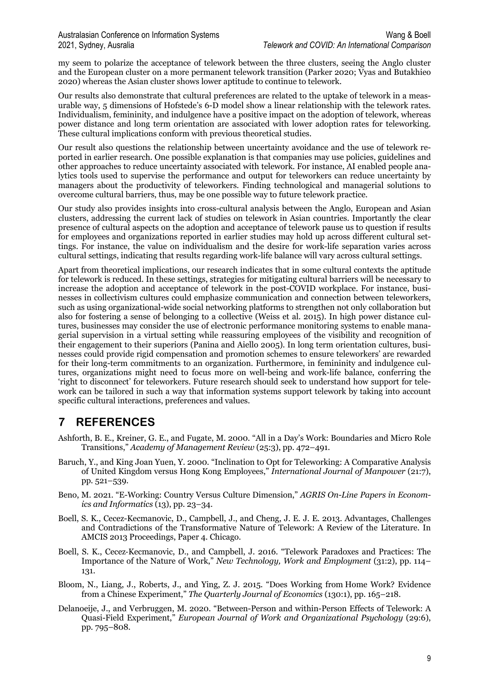my seem to polarize the acceptance of telework between the three clusters, seeing the Anglo cluster and the European cluster on a more permanent telework transition (Parker 2020; Vyas and Butakhieo 2020) whereas the Asian cluster shows lower aptitude to continue to telework.

Our results also demonstrate that cultural preferences are related to the uptake of telework in a measurable way, 5 dimensions of Hofstede's 6-D model show a linear relationship with the telework rates. Individualism, femininity, and indulgence have a positive impact on the adoption of telework, whereas power distance and long term orientation are associated with lower adoption rates for teleworking. These cultural implications conform with previous theoretical studies.

Our result also questions the relationship between uncertainty avoidance and the use of telework reported in earlier research. One possible explanation is that companies may use policies, guidelines and other approaches to reduce uncertainty associated with telework. For instance, AI enabled people analytics tools used to supervise the performance and output for teleworkers can reduce uncertainty by managers about the productivity of teleworkers. Finding technological and managerial solutions to overcome cultural barriers, thus, may be one possible way to future telework practice.

Our study also provides insights into cross-cultural analysis between the Anglo, European and Asian clusters, addressing the current lack of studies on telework in Asian countries. Importantly the clear presence of cultural aspects on the adoption and acceptance of telework pause us to question if results for employees and organizations reported in earlier studies may hold up across different cultural settings. For instance, the value on individualism and the desire for work-life separation varies across cultural settings, indicating that results regarding work-life balance will vary across cultural settings.

Apart from theoretical implications, our research indicates that in some cultural contexts the aptitude for telework is reduced. In these settings, strategies for mitigating cultural barriers will be necessary to increase the adoption and acceptance of telework in the post-COVID workplace. For instance, businesses in collectivism cultures could emphasize communication and connection between teleworkers, such as using organizational-wide social networking platforms to strengthen not only collaboration but also for fostering a sense of belonging to a collective (Weiss et al. 2015). In high power distance cultures, businesses may consider the use of electronic performance monitoring systems to enable managerial supervision in a virtual setting while reassuring employees of the visibility and recognition of their engagement to their superiors (Panina and Aiello 2005). In long term orientation cultures, businesses could provide rigid compensation and promotion schemes to ensure teleworkers' are rewarded for their long-term commitments to an organization. Furthermore, in femininity and indulgence cultures, organizations might need to focus more on well-being and work-life balance, conferring the 'right to disconnect' for teleworkers. Future research should seek to understand how support for telework can be tailored in such a way that information systems support telework by taking into account specific cultural interactions, preferences and values.

## **7 REFERENCES**

- Ashforth, B. E., Kreiner, G. E., and Fugate, M. 2000. "All in a Day's Work: Boundaries and Micro Role Transitions," *Academy of Management Review* (25:3), pp. 472–491.
- Baruch, Y., and King Joan Yuen, Y. 2000. "Inclination to Opt for Teleworking: A Comparative Analysis of United Kingdom versus Hong Kong Employees," *International Journal of Manpower* (21:7), pp. 521–539.
- Beno, M. 2021. "E-Working: Country Versus Culture Dimension," *AGRIS On-Line Papers in Economics and Informatics* (13), pp. 23–34.
- Boell, S. K., Cecez-Kecmanovic, D., Campbell, J., and Cheng, J. E. J. E. 2013. Advantages, Challenges and Contradictions of the Transformative Nature of Telework: A Review of the Literature. In AMCIS 2013 Proceedings, Paper 4. Chicago.
- Boell, S. K., Cecez-Kecmanovic, D., and Campbell, J. 2016. "Telework Paradoxes and Practices: The Importance of the Nature of Work," *New Technology, Work and Employment* (31:2), pp. 114– 131.
- Bloom, N., Liang, J., Roberts, J., and Ying, Z. J. 2015. "Does Working from Home Work? Evidence from a Chinese Experiment," *The Quarterly Journal of Economics* (130:1), pp. 165–218.
- Delanoeije, J., and Verbruggen, M. 2020. "Between-Person and within-Person Effects of Telework: A Quasi-Field Experiment," *European Journal of Work and Organizational Psychology* (29:6), pp. 795–808.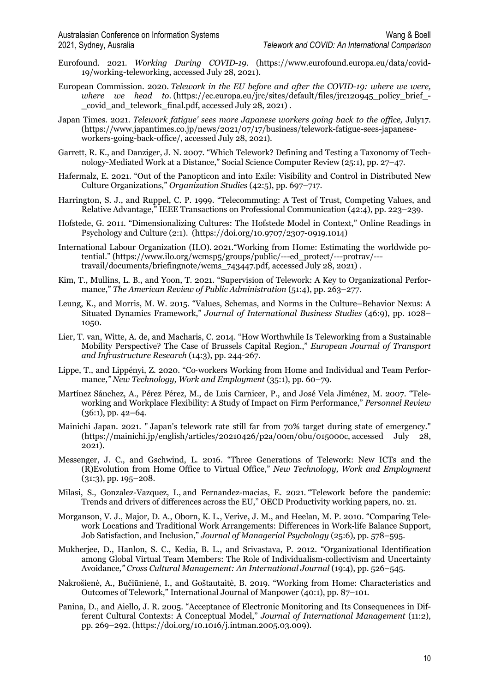- Eurofound. 2021. *Working During COVID-19.* (https://www.eurofound.europa.eu/data/covid-19/working-teleworking, accessed July 28, 2021).
- European Commission. 2020. *Telework in the EU before and after the COVID-19: where we were, where we head to.* (https://ec.europa.eu/jrc/sites/default/files/jrc120945 policy brief covid and telework final.pdf, accessed July  $28, 2021$ .
- Japan Times. 2021. *Telework fatigue' sees more Japanese workers going back to the office,* July17. (https://www.japantimes.co.jp/news/2021/07/17/business/telework-fatigue-sees-japaneseworkers-going-back-office/, accessed July 28, 2021).
- Garrett, R. K., and Danziger, J. N. 2007. "Which Telework? Defining and Testing a Taxonomy of Technology-Mediated Work at a Distance," Social Science Computer Review (25:1), pp. 27–47.
- Hafermalz, E. 2021. "Out of the Panopticon and into Exile: Visibility and Control in Distributed New Culture Organizations," *Organization Studies* (42:5), pp. 697–717.
- Harrington, S. J., and Ruppel, C. P. 1999. "Telecommuting: A Test of Trust, Competing Values, and Relative Advantage," IEEE Transactions on Professional Communication (42:4), pp. 223–239.
- Hofstede, G. 2011. "Dimensionalizing Cultures: The Hofstede Model in Context," Online Readings in Psychology and Culture (2:1). (https://doi.org/10.9707/2307-0919.1014)
- International Labour Organization (ILO). 2021."Working from Home: Estimating the worldwide potential." (https://www.ilo.org/wcmsp5/groups/public/---ed\_protect/---protrav/-- travail/documents/briefingnote/wcms\_743447.pdf, accessed July 28, 2021) .
- Kim, T., Mullins, L. B., and Yoon, T. 2021. "Supervision of Telework: A Key to Organizational Performance," *The American Review of Public Administration* (51:4), pp. 263–277.
- Leung, K., and Morris, M. W. 2015. "Values, Schemas, and Norms in the Culture–Behavior Nexus: A Situated Dynamics Framework," *Journal of International Business Studies* (46:9), pp. 1028– 1050.
- Lier, T. van, Witte, A. de, and Macharis, C. 2014. "How Worthwhile Is Teleworking from a Sustainable Mobility Perspective? The Case of Brussels Capital Region.," *European Journal of Transport and Infrastructure Research* (14:3), pp. 244-267.
- Lippe, T., and Lippényi, Z. 2020. "Co-workers Working from Home and Individual and Team Performance*," New Technology, Work and Employment* (35:1), pp. 60–79.
- Martínez Sánchez, A., Pérez Pérez, M., de Luis Carnicer, P., and José Vela Jiménez, M. 2007. "Teleworking and Workplace Flexibility: A Study of Impact on Firm Performance," *Personnel Review*  $(36:1)$ , pp. 42–64.
- Mainichi Japan. 2021. " Japan's telework rate still far from 70% target during state of emergency." (https://mainichi.jp/english/articles/20210426/p2a/00m/0bu/015000c, accessed July 28, 2021).
- Messenger, J. C., and Gschwind, L. 2016. "Three Generations of Telework: New ICTs and the (R)Evolution from Home Office to Virtual Office," *New Technology, Work and Employment* (31:3), pp. 195–208.
- Milasi, S., Gonzalez-Vazquez, I., and Fernandez-macias, E. 2021. "Telework before the pandemic: Trends and drivers of differences across the EU," OECD Productivity working papers, n0. 21.
- Morganson, V. J., Major, D. A., Oborn, K. L., Verive, J. M., and Heelan, M. P. 2010. "Comparing Telework Locations and Traditional Work Arrangements: Differences in Work-life Balance Support, Job Satisfaction, and Inclusion," *Journal of Managerial Psychology* (25:6), pp. 578–595.
- Mukherjee, D., Hanlon, S. C., Kedia, B. L., and Srivastava, P. 2012. "Organizational Identification among Global Virtual Team Members: The Role of Individualism-collectivism and Uncertainty Avoidance*," Cross Cultural Management: An International Journal* (19:4), pp. 526–545.
- Nakrošienė, A., Bučiūnienė, I., and Goštautaitė, B. 2019. "Working from Home: Characteristics and Outcomes of Telework," International Journal of Manpower (40:1), pp. 87–101.
- Panina, D., and Aiello, J. R. 2005. "Acceptance of Electronic Monitoring and Its Consequences in Different Cultural Contexts: A Conceptual Model," *Journal of International Management* (11:2), pp. 269–292. (https://doi.org/10.1016/j.intman.2005.03.009).